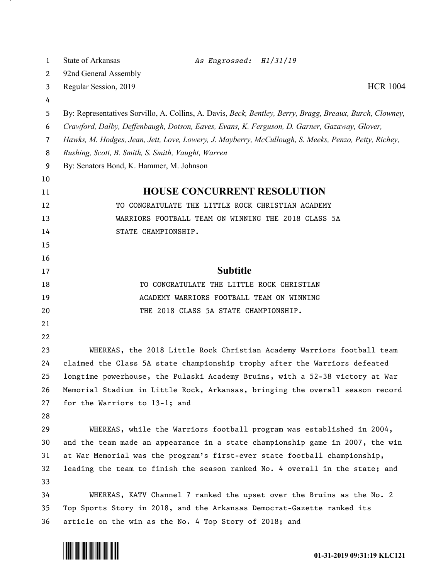| 1  | <b>State of Arkansas</b><br>As Engrossed: H1/31/19                                                       |
|----|----------------------------------------------------------------------------------------------------------|
| 2  | 92nd General Assembly                                                                                    |
| 3  | <b>HCR 1004</b><br>Regular Session, 2019                                                                 |
| 4  |                                                                                                          |
| 5  | By: Representatives Sorvillo, A. Collins, A. Davis, Beck, Bentley, Berry, Bragg, Breaux, Burch, Clowney, |
| 6  | Crawford, Dalby, Deffenbaugh, Dotson, Eaves, Evans, K. Ferguson, D. Garner, Gazaway, Glover,             |
| 7  | Hawks, M. Hodges, Jean, Jett, Love, Lowery, J. Mayberry, McCullough, S. Meeks, Penzo, Petty, Richey,     |
| 8  | Rushing, Scott, B. Smith, S. Smith, Vaught, Warren                                                       |
| 9  | By: Senators Bond, K. Hammer, M. Johnson                                                                 |
| 10 |                                                                                                          |
| 11 | <b>HOUSE CONCURRENT RESOLUTION</b>                                                                       |
| 12 | TO CONGRATULATE THE LITTLE ROCK CHRISTIAN ACADEMY                                                        |
| 13 | WARRIORS FOOTBALL TEAM ON WINNING THE 2018 CLASS 5A                                                      |
| 14 | STATE CHAMPIONSHIP.                                                                                      |
| 15 |                                                                                                          |
| 16 |                                                                                                          |
| 17 | <b>Subtitle</b>                                                                                          |
| 18 | TO CONGRATULATE THE LITTLE ROCK CHRISTIAN                                                                |
| 19 | ACADEMY WARRIORS FOOTBALL TEAM ON WINNING                                                                |
| 20 | THE 2018 CLASS 5A STATE CHAMPIONSHIP.                                                                    |
| 21 |                                                                                                          |
| 22 |                                                                                                          |
| 23 | WHEREAS, the 2018 Little Rock Christian Academy Warriors football team                                   |
| 24 | claimed the Class 5A state championship trophy after the Warriors defeated                               |
| 25 | longtime powerhouse, the Pulaski Academy Bruins, with a 52-38 victory at War                             |
| 26 | Memorial Stadium in Little Rock, Arkansas, bringing the overall season record                            |
| 27 | for the Warriors to 13-1; and                                                                            |
| 28 |                                                                                                          |
| 29 | WHEREAS, while the Warriors football program was established in 2004,                                    |
| 30 | and the team made an appearance in a state championship game in 2007, the win                            |
| 31 | at War Memorial was the program's first-ever state football championship,                                |
| 32 | leading the team to finish the season ranked No. 4 overall in the state; and                             |
| 33 |                                                                                                          |
| 34 | WHEREAS, KATV Channel 7 ranked the upset over the Bruins as the No. 2                                    |
| 35 | Top Sports Story in 2018, and the Arkansas Democrat-Gazette ranked its                                   |
| 36 | article on the win as the No. 4 Top Story of 2018; and                                                   |



- 7